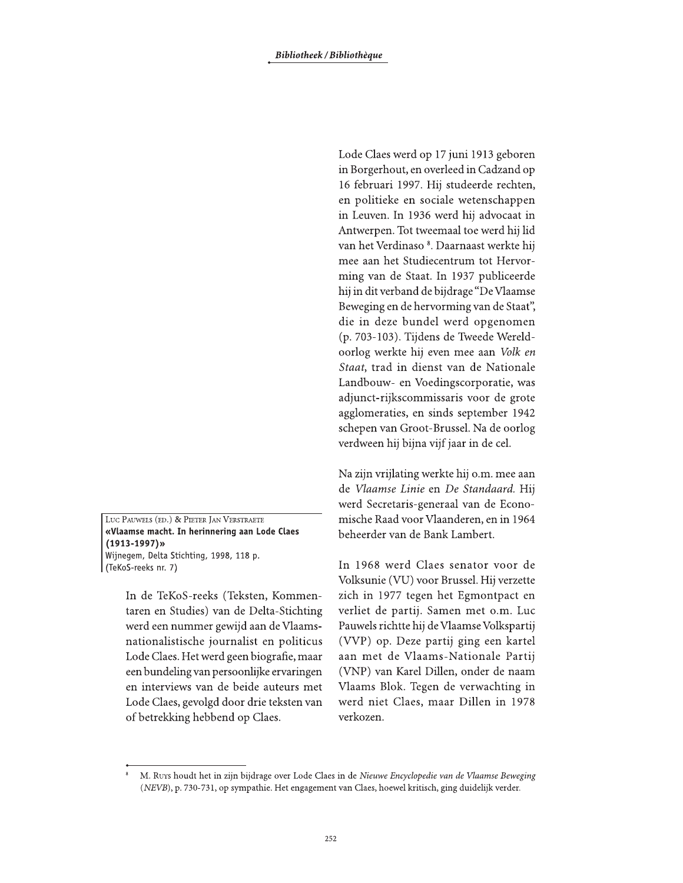LUC PAUWELS (ED.) & PIETER JAN VERSTRAETE «Vlaamse macht. In herinnering aan Lode Claes  $(1913 - 1997)$ » Wijnegem, Delta Stichting, 1998, 118 p. (TeKoS-reeks nr. 7)

> In de TeKoS-reeks (Teksten, Kommentaren en Studies) van de Delta-Stichting werd een nummer gewijd aan de Vlaamsnationalistische journalist en politicus Lode Claes. Het werd geen biografie, maar een bundeling van persoonlijke ervaringen en interviews van de beide auteurs met Lode Claes, gevolgd door drie teksten van of betrekking hebbend op Claes.

Lode Claes werd op 17 juni 1913 geboren in Borgerhout, en overleed in Cadzand op 16 februari 1997. Hij studeerde rechten, en politieke en sociale wetenschappen in Leuven. In 1936 werd hij advocaat in Antwerpen. Tot tweemaal toe werd hij lid van het Verdinaso<sup>8</sup>. Daarnaast werkte hij mee aan het Studiecentrum tot Hervorming van de Staat. In 1937 publiceerde hij in dit verband de bijdrage "De Vlaamse Beweging en de hervorming van de Staat", die in deze bundel werd opgenomen (p. 703-103). Tijdens de Tweede Wereldoorlog werkte hij even mee aan Volk en Staat, trad in dienst van de Nationale Landbouw- en Voedingscorporatie, was adjunct-rijkscommissaris voor de grote agglomeraties, en sinds september 1942 schepen van Groot-Brussel. Na de oorlog verdween hij bijna vijf jaar in de cel.

Na zijn vrijlating werkte hij o.m. mee aan de Vlaamse Linie en De Standaard. Hij werd Secretaris-generaal van de Economische Raad voor Vlaanderen, en in 1964 beheerder van de Bank Lambert.

In 1968 werd Claes senator voor de Volksunie (VU) voor Brussel. Hij verzette zich in 1977 tegen het Egmontpact en verliet de partij. Samen met o.m. Luc Pauwels richtte hij de Vlaamse Volkspartij (VVP) op. Deze partij ging een kartel aan met de Vlaams-Nationale Partij (VNP) van Karel Dillen, onder de naam Vlaams Blok. Tegen de verwachting in werd niet Claes, maar Dillen in 1978 verkozen.

M. Ruys houdt het in zijn bijdrage over Lode Claes in de Nieuwe Encyclopedie van de Vlaamse Beweging (NEVB), p. 730-731, op sympathie. Het engagement van Claes, hoewel kritisch, ging duidelijk verder.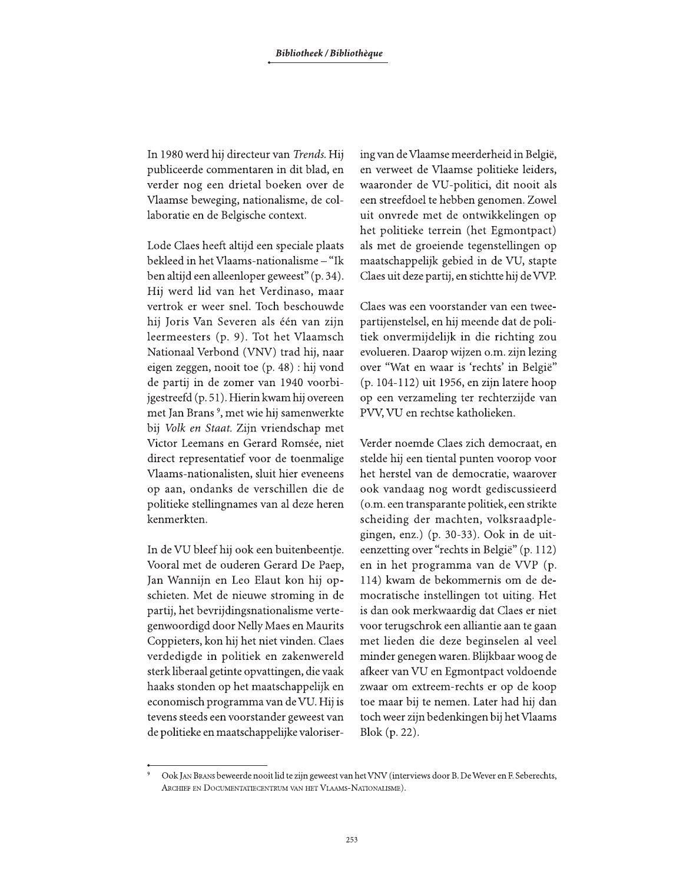In 1980 werd hij directeur van Trends. Hij publiceerde commentaren in dit blad, en verder nog een drietal boeken over de Vlaamse beweging, nationalisme, de collaboratie en de Belgische context.

Lode Claes heeft altijd een speciale plaats bekleed in het Vlaams-nationalisme – "Ik ben altijd een alleenloper geweest" (p. 34). Hij werd lid van het Verdinaso, maar vertrok er weer snel. Toch beschouwde hij Joris Van Severen als één van zijn leermeesters (p. 9). Tot het Vlaamsch Nationaal Verbond (VNV) trad hij, naar eigen zeggen, nooit toe (p. 48) : hij vond de partij in de zomer van 1940 voorbijgestreefd (p. 51). Hierin kwam hij overeen met Jan Brans<sup>9</sup>, met wie hij samenwerkte bij Volk en Staat. Zijn vriendschap met Victor Leemans en Gerard Romsée, niet direct representatief voor de toenmalige Vlaams-nationalisten, sluit hier eveneens op aan, ondanks de verschillen die de politieke stellingnames van al deze heren kenmerkten.

In de VU bleef hij ook een buitenbeentje. Vooral met de ouderen Gerard De Paep, Jan Wannijn en Leo Elaut kon hij opschieten. Met de nieuwe stroming in de partij, het bevrijdingsnationalisme vertegenwoordigd door Nelly Maes en Maurits Coppieters, kon hij het niet vinden. Claes verdedigde in politiek en zakenwereld sterk liberaal getinte opvattingen, die vaak haaks stonden op het maatschappelijk en economisch programma van de VU. Hij is tevens steeds een voorstander geweest van de politieke en maatschappelijke valorisering van de Vlaamse meerderheid in België, en verweet de Vlaamse politieke leiders, waaronder de VU-politici, dit nooit als een streefdoel te hebben genomen. Zowel uit onvrede met de ontwikkelingen op het politieke terrein (het Egmontpact) als met de groeiende tegenstellingen op maatschappelijk gebied in de VU, stapte Claes uit deze partij, en stichtte hij de VVP.

Claes was een voorstander van een tweepartijenstelsel, en hij meende dat de politiek onvermijdelijk in die richting zou evolueren. Daarop wijzen o.m. zijn lezing over "Wat en waar is 'rechts' in België" (p. 104-112) uit 1956, en zijn latere hoop op een verzameling ter rechterzijde van PVV, VU en rechtse katholieken.

Verder noemde Claes zich democraat, en stelde hij een tiental punten voorop voor het herstel van de democratie, waarover ook vandaag nog wordt gediscussieerd (o.m. een transparante politiek, een strikte scheiding der machten, volksraadplegingen, enz.) (p. 30-33). Ook in de uiteenzetting over "rechts in België" (p. 112) en in het programma van de VVP (p. 114) kwam de bekommernis om de democratische instellingen tot uiting. Het is dan ook merkwaardig dat Claes er niet voor terugschrok een alliantie aan te gaan met lieden die deze beginselen al veel minder genegen waren. Blijkbaar woog de afkeer van VU en Egmontpact voldoende zwaar om extreem-rechts er op de koop toe maar bij te nemen. Later had hij dan toch weer zijn bedenkingen bij het Vlaams Blok  $(p. 22)$ .

Ook JAN BRANS beweerde nooit lid te zijn geweest van het VNV (interviews door B. De Wever en F. Seberechts, ARCHIEF EN DOCUMENTATIECENTRUM VAN HET VLAAMS-NATIONALISME).